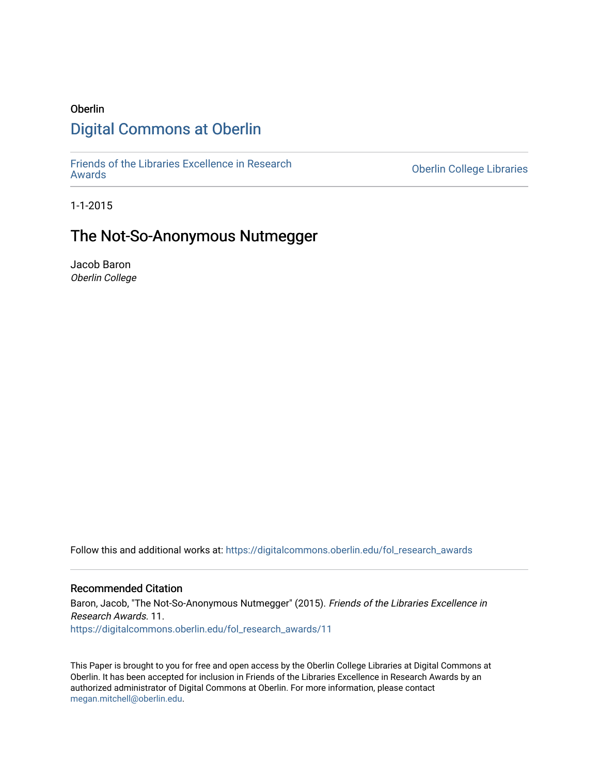# Oberlin [Digital Commons at Oberlin](https://digitalcommons.oberlin.edu/)

[Friends of the Libraries Excellence in Research](https://digitalcommons.oberlin.edu/fol_research_awards)

**Oberlin College Libraries** 

1-1-2015

# The Not-So-Anonymous Nutmegger

Jacob Baron Oberlin College

Follow this and additional works at: [https://digitalcommons.oberlin.edu/fol\\_research\\_awards](https://digitalcommons.oberlin.edu/fol_research_awards?utm_source=digitalcommons.oberlin.edu%2Ffol_research_awards%2F11&utm_medium=PDF&utm_campaign=PDFCoverPages)

## Recommended Citation

Baron, Jacob, "The Not-So-Anonymous Nutmegger" (2015). Friends of the Libraries Excellence in Research Awards. 11. [https://digitalcommons.oberlin.edu/fol\\_research\\_awards/11](https://digitalcommons.oberlin.edu/fol_research_awards/11?utm_source=digitalcommons.oberlin.edu%2Ffol_research_awards%2F11&utm_medium=PDF&utm_campaign=PDFCoverPages) 

This Paper is brought to you for free and open access by the Oberlin College Libraries at Digital Commons at Oberlin. It has been accepted for inclusion in Friends of the Libraries Excellence in Research Awards by an authorized administrator of Digital Commons at Oberlin. For more information, please contact [megan.mitchell@oberlin.edu](mailto:megan.mitchell@oberlin.edu).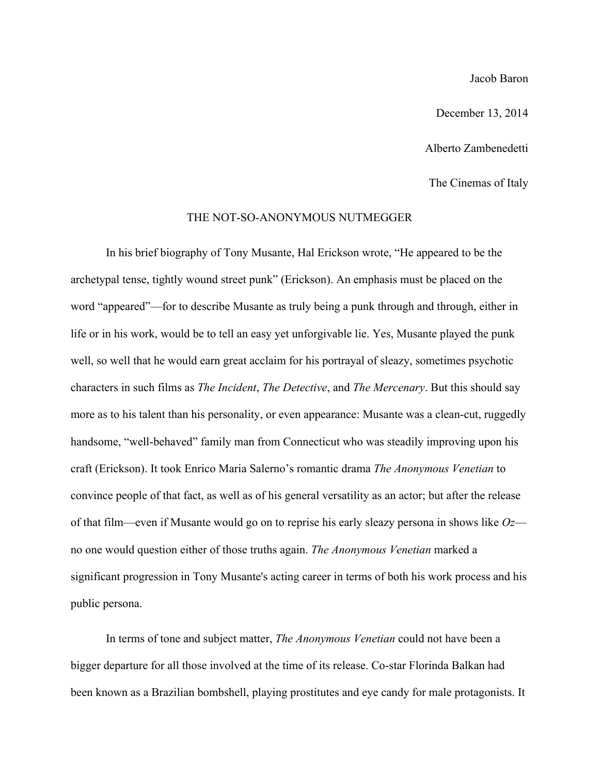### Jacob Baron

December 13, 2014

Alberto Zambenedetti

The Cinemas of Italy

#### THE NOT-SO-ANONYMOUS NUTMEGGER

In his brief biography of Tony Musante, Hal Erickson wrote, "He appeared to be the archetypal tense, tightly wound street punk" (Erickson). An emphasis must be placed on the word "appeared"—for to describe Musante as truly being a punk through and through, either in life or in his work, would be to tell an easy yet unforgivable lie. Yes, Musante played the punk well, so well that he would earn great acclaim for his portrayal of sleazy, sometimes psychotic characters in such films as *The Incident*, *The Detective*, and *The Mercenary*. But this should say more as to his talent than his personality, or even appearance: Musante was a clean-cut, ruggedly handsome, "well-behaved" family man from Connecticut who was steadily improving upon his craft (Erickson). It took Enrico Maria Salerno's romantic drama *The Anonymous Venetian* to convince people of that fact, as well as of his general versatility as an actor; but after the release of that film—even if Musante would go on to reprise his early sleazy persona in shows like *Oz* no one would question either of those truths again. *The Anonymous Venetian* marked a significant progression in Tony Musante's acting career in terms of both his work process and his public persona.

In terms of tone and subject matter, *The Anonymous Venetian* could not have been a bigger departure for all those involved at the time of its release. Co-star Florinda Balkan had been known as a Brazilian bombshell, playing prostitutes and eye candy for male protagonists. It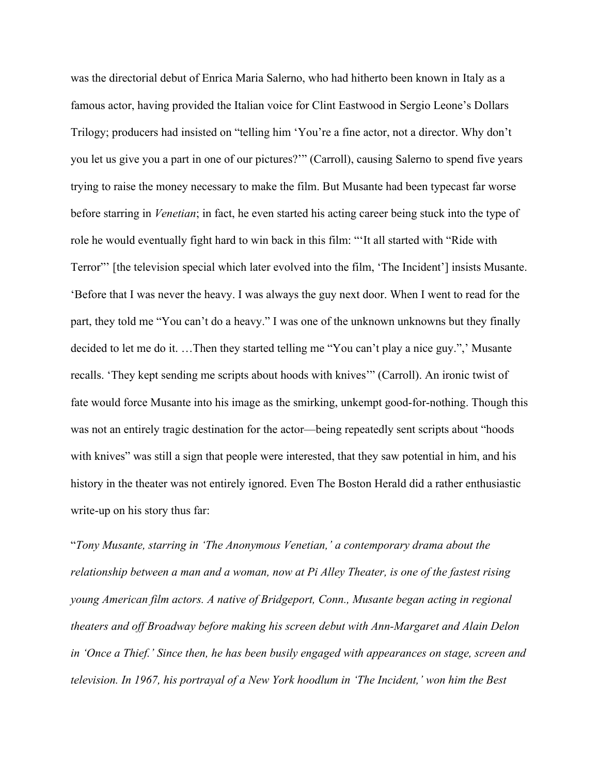was the directorial debut of Enrica Maria Salerno, who had hitherto been known in Italy as a famous actor, having provided the Italian voice for Clint Eastwood in Sergio Leone's Dollars Trilogy; producers had insisted on "telling him 'You're a fine actor, not a director. Why don't you let us give you a part in one of our pictures?'" (Carroll), causing Salerno to spend five years trying to raise the money necessary to make the film. But Musante had been typecast far worse before starring in *Venetian*; in fact, he even started his acting career being stuck into the type of role he would eventually fight hard to win back in this film: "'It all started with "Ride with Terror"' [the television special which later evolved into the film, 'The Incident'] insists Musante. 'Before that I was never the heavy. I was always the guy next door. When I went to read for the part, they told me "You can't do a heavy." I was one of the unknown unknowns but they finally decided to let me do it. …Then they started telling me "You can't play a nice guy.",' Musante recalls. 'They kept sending me scripts about hoods with knives'" (Carroll). An ironic twist of fate would force Musante into his image as the smirking, unkempt good-for-nothing. Though this was not an entirely tragic destination for the actor—being repeatedly sent scripts about "hoods with knives" was still a sign that people were interested, that they saw potential in him, and his history in the theater was not entirely ignored. Even The Boston Herald did a rather enthusiastic write-up on his story thus far:

"*Tony Musante, starring in 'The Anonymous Venetian,' a contemporary drama about the relationship between a man and a woman, now at Pi Alley Theater, is one of the fastest rising young American film actors. A native of Bridgeport, Conn., Musante began acting in regional theaters and off Broadway before making his screen debut with Ann-Margaret and Alain Delon in 'Once a Thief.' Since then, he has been busily engaged with appearances on stage, screen and television. In 1967, his portrayal of a New York hoodlum in 'The Incident,' won him the Best*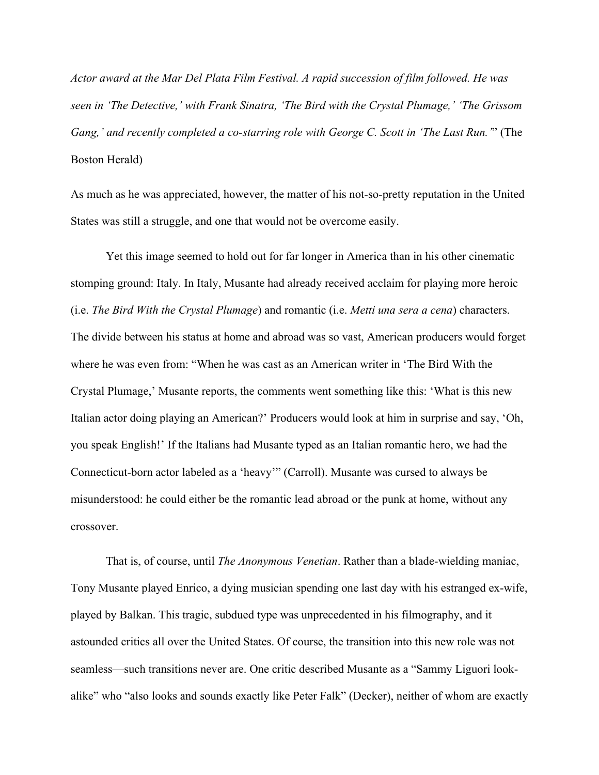*Actor award at the Mar Del Plata Film Festival. A rapid succession of film followed. He was seen in 'The Detective,' with Frank Sinatra, 'The Bird with the Crystal Plumage,' 'The Grissom Gang,' and recently completed a co-starring role with George C. Scott in 'The Last Run.'*" (The Boston Herald)

As much as he was appreciated, however, the matter of his not-so-pretty reputation in the United States was still a struggle, and one that would not be overcome easily.

Yet this image seemed to hold out for far longer in America than in his other cinematic stomping ground: Italy. In Italy, Musante had already received acclaim for playing more heroic (i.e. *The Bird With the Crystal Plumage*) and romantic (i.e. *Metti una sera a cena*) characters. The divide between his status at home and abroad was so vast, American producers would forget where he was even from: "When he was cast as an American writer in 'The Bird With the Crystal Plumage,' Musante reports, the comments went something like this: 'What is this new Italian actor doing playing an American?' Producers would look at him in surprise and say, 'Oh, you speak English!' If the Italians had Musante typed as an Italian romantic hero, we had the Connecticut-born actor labeled as a 'heavy'" (Carroll). Musante was cursed to always be misunderstood: he could either be the romantic lead abroad or the punk at home, without any crossover.

That is, of course, until *The Anonymous Venetian*. Rather than a blade-wielding maniac, Tony Musante played Enrico, a dying musician spending one last day with his estranged ex-wife, played by Balkan. This tragic, subdued type was unprecedented in his filmography, and it astounded critics all over the United States. Of course, the transition into this new role was not seamless—such transitions never are. One critic described Musante as a "Sammy Liguori lookalike" who "also looks and sounds exactly like Peter Falk" (Decker), neither of whom are exactly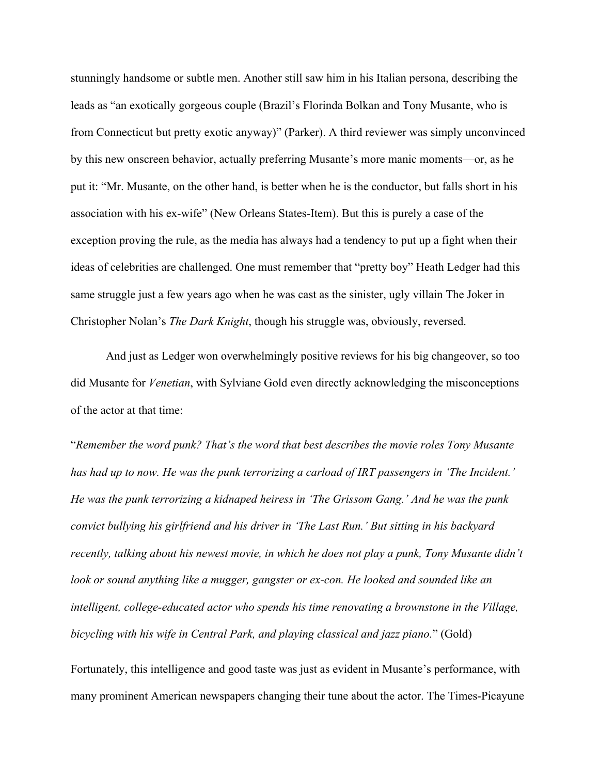stunningly handsome or subtle men. Another still saw him in his Italian persona, describing the leads as "an exotically gorgeous couple (Brazil's Florinda Bolkan and Tony Musante, who is from Connecticut but pretty exotic anyway)" (Parker). A third reviewer was simply unconvinced by this new onscreen behavior, actually preferring Musante's more manic moments—or, as he put it: "Mr. Musante, on the other hand, is better when he is the conductor, but falls short in his association with his ex-wife" (New Orleans States-Item). But this is purely a case of the exception proving the rule, as the media has always had a tendency to put up a fight when their ideas of celebrities are challenged. One must remember that "pretty boy" Heath Ledger had this same struggle just a few years ago when he was cast as the sinister, ugly villain The Joker in Christopher Nolan's *The Dark Knight*, though his struggle was, obviously, reversed.

And just as Ledger won overwhelmingly positive reviews for his big changeover, so too did Musante for *Venetian*, with Sylviane Gold even directly acknowledging the misconceptions of the actor at that time:

"*Remember the word punk? That's the word that best describes the movie roles Tony Musante has had up to now. He was the punk terrorizing a carload of IRT passengers in 'The Incident.' He was the punk terrorizing a kidnaped heiress in 'The Grissom Gang.' And he was the punk convict bullying his girlfriend and his driver in 'The Last Run.' But sitting in his backyard recently, talking about his newest movie, in which he does not play a punk, Tony Musante didn't look or sound anything like a mugger, gangster or ex-con. He looked and sounded like an intelligent, college-educated actor who spends his time renovating a brownstone in the Village, bicycling with his wife in Central Park, and playing classical and jazz piano.*" (Gold)

Fortunately, this intelligence and good taste was just as evident in Musante's performance, with many prominent American newspapers changing their tune about the actor. The Times-Picayune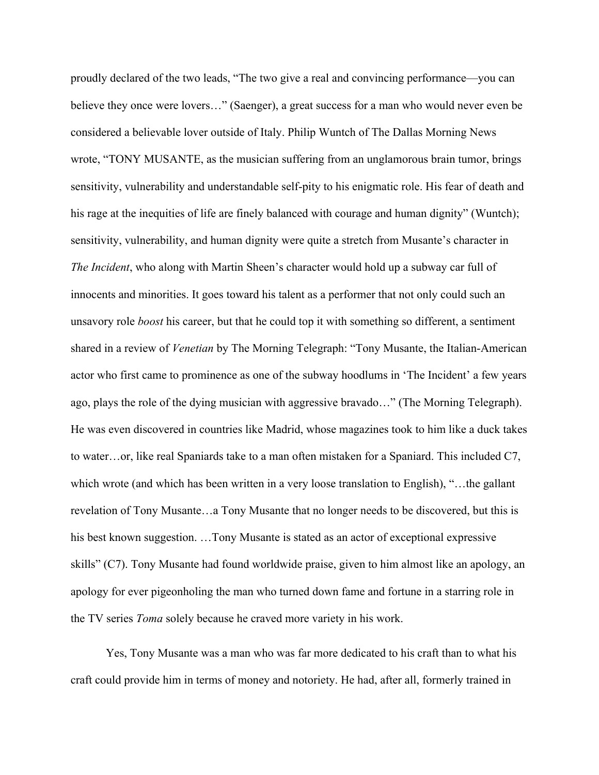proudly declared of the two leads, "The two give a real and convincing performance—you can believe they once were lovers…" (Saenger), a great success for a man who would never even be considered a believable lover outside of Italy. Philip Wuntch of The Dallas Morning News wrote, "TONY MUSANTE, as the musician suffering from an unglamorous brain tumor, brings sensitivity, vulnerability and understandable self-pity to his enigmatic role. His fear of death and his rage at the inequities of life are finely balanced with courage and human dignity" (Wuntch); sensitivity, vulnerability, and human dignity were quite a stretch from Musante's character in *The Incident*, who along with Martin Sheen's character would hold up a subway car full of innocents and minorities. It goes toward his talent as a performer that not only could such an unsavory role *boost* his career, but that he could top it with something so different, a sentiment shared in a review of *Venetian* by The Morning Telegraph: "Tony Musante, the Italian-American actor who first came to prominence as one of the subway hoodlums in 'The Incident' a few years ago, plays the role of the dying musician with aggressive bravado…" (The Morning Telegraph). He was even discovered in countries like Madrid, whose magazines took to him like a duck takes to water…or, like real Spaniards take to a man often mistaken for a Spaniard. This included C7, which wrote (and which has been written in a very loose translation to English), "...the gallant revelation of Tony Musante…a Tony Musante that no longer needs to be discovered, but this is his best known suggestion. ...Tony Musante is stated as an actor of exceptional expressive skills" (C7). Tony Musante had found worldwide praise, given to him almost like an apology, an apology for ever pigeonholing the man who turned down fame and fortune in a starring role in the TV series *Toma* solely because he craved more variety in his work.

Yes, Tony Musante was a man who was far more dedicated to his craft than to what his craft could provide him in terms of money and notoriety. He had, after all, formerly trained in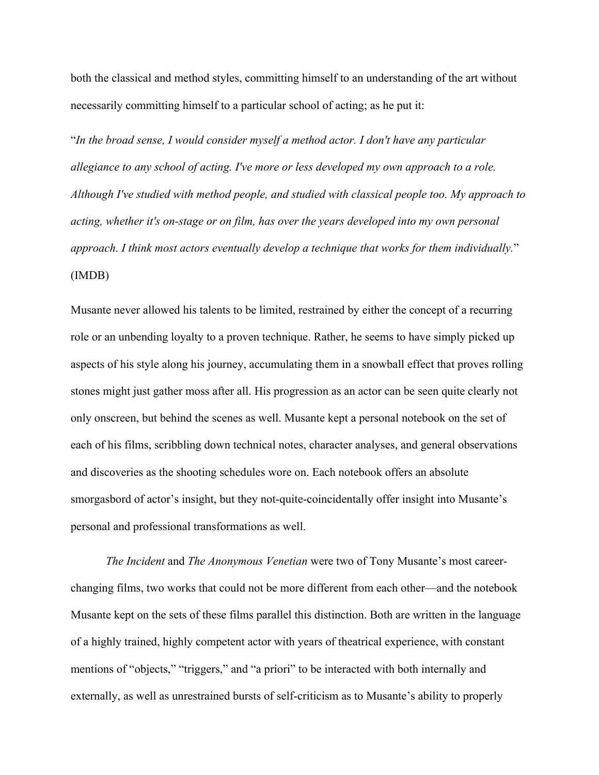both the classical and method styles, committing himself to an understanding of the art without necessarily committing himself to a particular school of acting; as he put it:

"*In the broad sense, I would consider myself a method actor. I don't have any particular allegiance to any school of acting. I've more or less developed my own approach to a role. Although I've studied with method people, and studied with classical people too. My approach to acting, whether it's on-stage or on film, has over the years developed into my own personal approach. I think most actors eventually develop a technique that works for them individually.*" (IMDB)

Musante never allowed his talents to be limited, restrained by either the concept of a recurring role or an unbending loyalty to a proven technique. Rather, he seems to have simply picked up aspects of his style along his journey, accumulating them in a snowball effect that proves rolling stones might just gather moss after all. His progression as an actor can be seen quite clearly not only onscreen, but behind the scenes as well. Musante kept a personal notebook on the set of each of his films, scribbling down technical notes, character analyses, and general observations and discoveries as the shooting schedules wore on. Each notebook offers an absolute smorgasbord of actor's insight, but they not-quite-coincidentally offer insight into Musante's personal and professional transformations as well.

*The Incident* and *The Anonymous Venetian* were two of Tony Musante's most careerchanging films, two works that could not be more different from each other—and the notebook Musante kept on the sets of these films parallel this distinction. Both are written in the language of a highly trained, highly competent actor with years of theatrical experience, with constant mentions of "objects," "triggers," and "a priori" to be interacted with both internally and externally, as well as unrestrained bursts of self-criticism as to Musante's ability to properly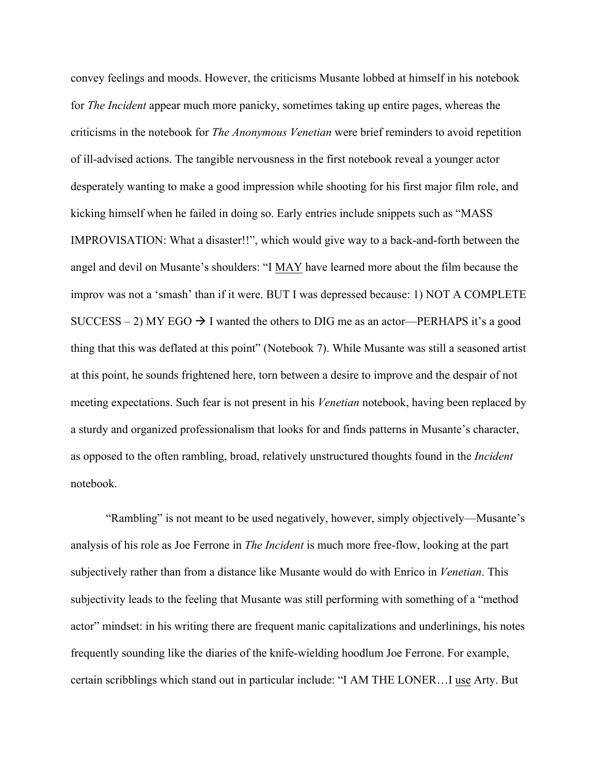convey feelings and moods. However, the criticisms Musante lobbed at himself in his notebook for *The Incident* appear much more panicky, sometimes taking up entire pages, whereas the criticisms in the notebook for *The Anonymous Venetian* were brief reminders to avoid repetition of ill-advised actions. The tangible nervousness in the first notebook reveal a younger actor desperately wanting to make a good impression while shooting for his first major film role, and kicking himself when he failed in doing so. Early entries include snippets such as "MASS IMPROVISATION: What a disaster!!", which would give way to a back-and-forth between the angel and devil on Musante's shoulders: "I MAY have learned more about the film because the improv was not a 'smash' than if it were. BUT I was depressed because: 1) NOT A COMPLETE SUCCESS – 2) MY EGO  $\rightarrow$  I wanted the others to DIG me as an actor—PERHAPS it's a good thing that this was deflated at this point" (Notebook 7). While Musante was still a seasoned artist at this point, he sounds frightened here, torn between a desire to improve and the despair of not meeting expectations. Such fear is not present in his *Venetian* notebook, having been replaced by a sturdy and organized professionalism that looks for and finds patterns in Musante's character, as opposed to the often rambling, broad, relatively unstructured thoughts found in the *Incident*  notebook.

"Rambling" is not meant to be used negatively, however, simply objectively—Musante's analysis of his role as Joe Ferrone in *The Incident* is much more free-flow, looking at the part subjectively rather than from a distance like Musante would do with Enrico in *Venetian*. This subjectivity leads to the feeling that Musante was still performing with something of a "method actor" mindset: in his writing there are frequent manic capitalizations and underlinings, his notes frequently sounding like the diaries of the knife-wielding hoodlum Joe Ferrone. For example, certain scribblings which stand out in particular include: "I AM THE LONER…I use Arty. But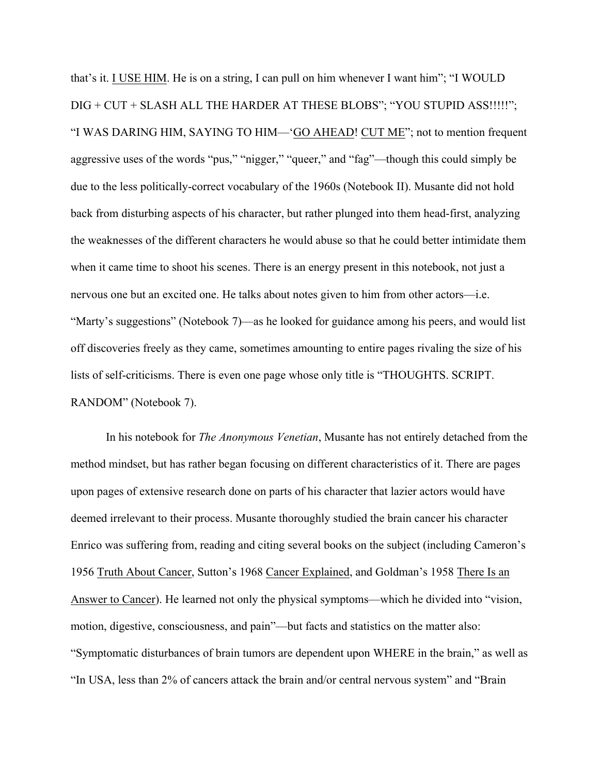that's it. I USE HIM. He is on a string, I can pull on him whenever I want him"; "I WOULD DIG + CUT + SLASH ALL THE HARDER AT THESE BLOBS"; "YOU STUPID ASS!!!!!"; "I WAS DARING HIM, SAYING TO HIM—'GO AHEAD! CUT ME"; not to mention frequent aggressive uses of the words "pus," "nigger," "queer," and "fag"—though this could simply be due to the less politically-correct vocabulary of the 1960s (Notebook II). Musante did not hold back from disturbing aspects of his character, but rather plunged into them head-first, analyzing the weaknesses of the different characters he would abuse so that he could better intimidate them when it came time to shoot his scenes. There is an energy present in this notebook, not just a nervous one but an excited one. He talks about notes given to him from other actors—i.e. "Marty's suggestions" (Notebook 7)—as he looked for guidance among his peers, and would list off discoveries freely as they came, sometimes amounting to entire pages rivaling the size of his lists of self-criticisms. There is even one page whose only title is "THOUGHTS. SCRIPT. RANDOM" (Notebook 7).

In his notebook for *The Anonymous Venetian*, Musante has not entirely detached from the method mindset, but has rather began focusing on different characteristics of it. There are pages upon pages of extensive research done on parts of his character that lazier actors would have deemed irrelevant to their process. Musante thoroughly studied the brain cancer his character Enrico was suffering from, reading and citing several books on the subject (including Cameron's 1956 Truth About Cancer, Sutton's 1968 Cancer Explained, and Goldman's 1958 There Is an Answer to Cancer). He learned not only the physical symptoms—which he divided into "vision, motion, digestive, consciousness, and pain"—but facts and statistics on the matter also: "Symptomatic disturbances of brain tumors are dependent upon WHERE in the brain," as well as "In USA, less than 2% of cancers attack the brain and/or central nervous system" and "Brain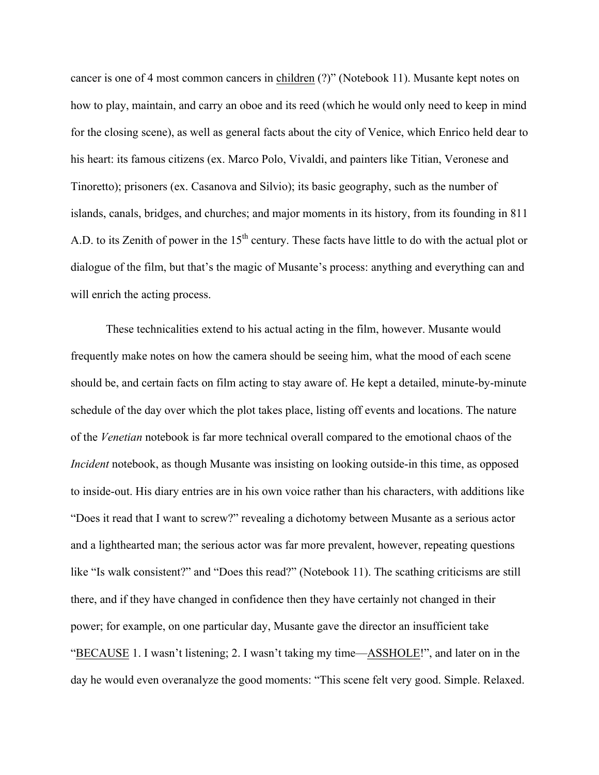cancer is one of 4 most common cancers in children (?)" (Notebook 11). Musante kept notes on how to play, maintain, and carry an oboe and its reed (which he would only need to keep in mind for the closing scene), as well as general facts about the city of Venice, which Enrico held dear to his heart: its famous citizens (ex. Marco Polo, Vivaldi, and painters like Titian, Veronese and Tinoretto); prisoners (ex. Casanova and Silvio); its basic geography, such as the number of islands, canals, bridges, and churches; and major moments in its history, from its founding in 811 A.D. to its Zenith of power in the 15<sup>th</sup> century. These facts have little to do with the actual plot or dialogue of the film, but that's the magic of Musante's process: anything and everything can and will enrich the acting process.

These technicalities extend to his actual acting in the film, however. Musante would frequently make notes on how the camera should be seeing him, what the mood of each scene should be, and certain facts on film acting to stay aware of. He kept a detailed, minute-by-minute schedule of the day over which the plot takes place, listing off events and locations. The nature of the *Venetian* notebook is far more technical overall compared to the emotional chaos of the *Incident* notebook, as though Musante was insisting on looking outside-in this time, as opposed to inside-out. His diary entries are in his own voice rather than his characters, with additions like "Does it read that I want to screw?" revealing a dichotomy between Musante as a serious actor and a lighthearted man; the serious actor was far more prevalent, however, repeating questions like "Is walk consistent?" and "Does this read?" (Notebook 11). The scathing criticisms are still there, and if they have changed in confidence then they have certainly not changed in their power; for example, on one particular day, Musante gave the director an insufficient take "BECAUSE 1. I wasn't listening; 2. I wasn't taking my time—ASSHOLE!", and later on in the day he would even overanalyze the good moments: "This scene felt very good. Simple. Relaxed.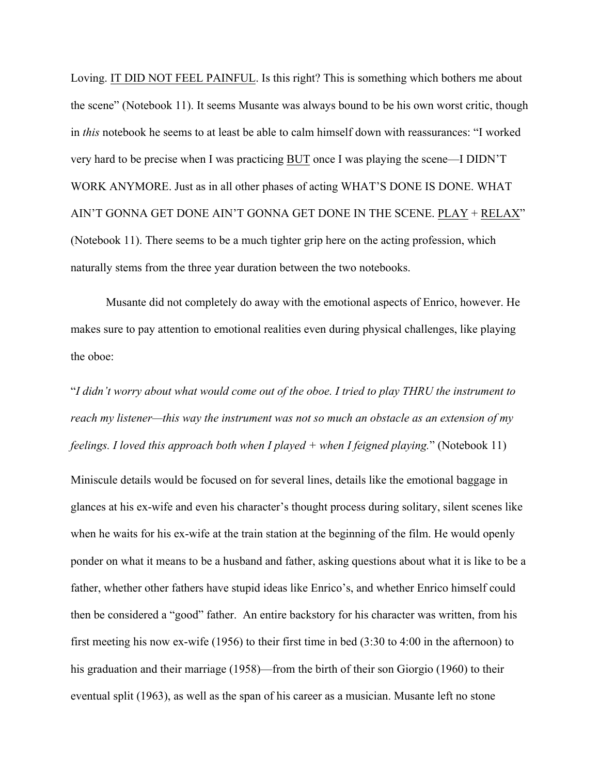Loving. IT DID NOT FEEL PAINFUL. Is this right? This is something which bothers me about the scene" (Notebook 11). It seems Musante was always bound to be his own worst critic, though in *this* notebook he seems to at least be able to calm himself down with reassurances: "I worked very hard to be precise when I was practicing BUT once I was playing the scene—I DIDN'T WORK ANYMORE. Just as in all other phases of acting WHAT'S DONE IS DONE. WHAT AIN'T GONNA GET DONE AIN'T GONNA GET DONE IN THE SCENE. PLAY + RELAX" (Notebook 11). There seems to be a much tighter grip here on the acting profession, which naturally stems from the three year duration between the two notebooks.

Musante did not completely do away with the emotional aspects of Enrico, however. He makes sure to pay attention to emotional realities even during physical challenges, like playing the oboe:

"*I didn't worry about what would come out of the oboe. I tried to play THRU the instrument to reach my listener—this way the instrument was not so much an obstacle as an extension of my feelings. I loved this approach both when I played + when I feigned playing.*" (Notebook 11)

Miniscule details would be focused on for several lines, details like the emotional baggage in glances at his ex-wife and even his character's thought process during solitary, silent scenes like when he waits for his ex-wife at the train station at the beginning of the film. He would openly ponder on what it means to be a husband and father, asking questions about what it is like to be a father, whether other fathers have stupid ideas like Enrico's, and whether Enrico himself could then be considered a "good" father. An entire backstory for his character was written, from his first meeting his now ex-wife (1956) to their first time in bed (3:30 to 4:00 in the afternoon) to his graduation and their marriage (1958)—from the birth of their son Giorgio (1960) to their eventual split (1963), as well as the span of his career as a musician. Musante left no stone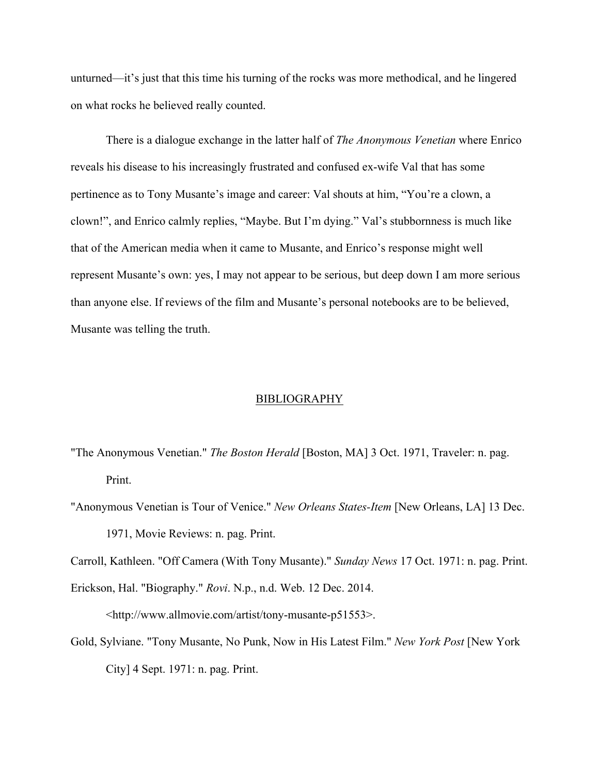unturned—it's just that this time his turning of the rocks was more methodical, and he lingered on what rocks he believed really counted.

There is a dialogue exchange in the latter half of *The Anonymous Venetian* where Enrico reveals his disease to his increasingly frustrated and confused ex-wife Val that has some pertinence as to Tony Musante's image and career: Val shouts at him, "You're a clown, a clown!", and Enrico calmly replies, "Maybe. But I'm dying." Val's stubbornness is much like that of the American media when it came to Musante, and Enrico's response might well represent Musante's own: yes, I may not appear to be serious, but deep down I am more serious than anyone else. If reviews of the film and Musante's personal notebooks are to be believed, Musante was telling the truth.

#### BIBLIOGRAPHY

- "The Anonymous Venetian." *The Boston Herald* [Boston, MA] 3 Oct. 1971, Traveler: n. pag. Print.
- "Anonymous Venetian is Tour of Venice." *New Orleans States-Item* [New Orleans, LA] 13 Dec. 1971, Movie Reviews: n. pag. Print.

Carroll, Kathleen. "Off Camera (With Tony Musante)." *Sunday News* 17 Oct. 1971: n. pag. Print.

Erickson, Hal. "Biography." *Rovi*. N.p., n.d. Web. 12 Dec. 2014.

<http://www.allmovie.com/artist/tony-musante-p51553>.

Gold, Sylviane. "Tony Musante, No Punk, Now in His Latest Film." *New York Post* [New York City] 4 Sept. 1971: n. pag. Print.